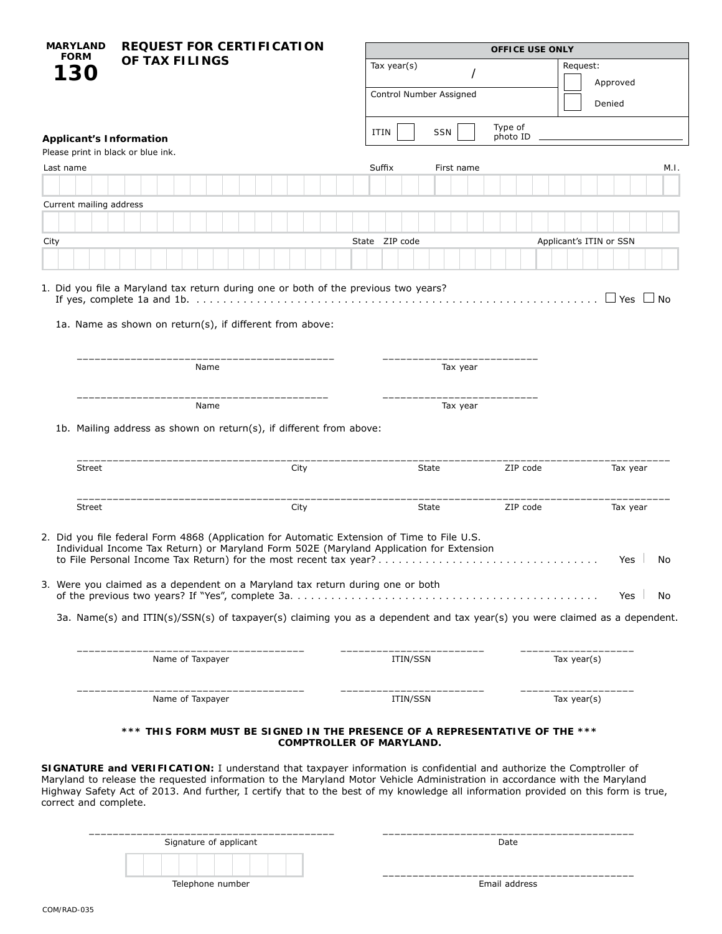| <b>MARYLAND</b><br><b>FORM</b>                                                                                                                                                                                                                                                                                                                                                                                   | <b>REQUEST FOR CERTIFICATION</b> |  |                                                                             |  |                        |  |  |  |  |  |      |             | <b>OFFICE USE ONLY</b> |                         |  |        |  |                                 |              |            |            |                      |                     |          |  |  |  |                |  |                         |            |           |
|------------------------------------------------------------------------------------------------------------------------------------------------------------------------------------------------------------------------------------------------------------------------------------------------------------------------------------------------------------------------------------------------------------------|----------------------------------|--|-----------------------------------------------------------------------------|--|------------------------|--|--|--|--|--|------|-------------|------------------------|-------------------------|--|--------|--|---------------------------------|--------------|------------|------------|----------------------|---------------------|----------|--|--|--|----------------|--|-------------------------|------------|-----------|
| 30                                                                                                                                                                                                                                                                                                                                                                                                               | OF TAX FILINGS                   |  |                                                                             |  |                        |  |  |  |  |  |      | Tax year(s) |                        |                         |  |        |  |                                 |              |            |            | Request:<br>Approved |                     |          |  |  |  |                |  |                         |            |           |
|                                                                                                                                                                                                                                                                                                                                                                                                                  |                                  |  |                                                                             |  |                        |  |  |  |  |  |      |             |                        | Control Number Assigned |  |        |  |                                 |              |            |            | Denied               |                     |          |  |  |  |                |  |                         |            |           |
|                                                                                                                                                                                                                                                                                                                                                                                                                  |                                  |  |                                                                             |  |                        |  |  |  |  |  |      |             |                        |                         |  | ITIN   |  |                                 |              | <b>SSN</b> |            |                      | Type of<br>photo ID |          |  |  |  |                |  |                         |            |           |
| <b>Applicant's Information</b><br>Please print in black or blue ink.                                                                                                                                                                                                                                                                                                                                             |                                  |  |                                                                             |  |                        |  |  |  |  |  |      |             |                        |                         |  |        |  |                                 |              |            |            |                      |                     |          |  |  |  |                |  |                         |            |           |
| Last name                                                                                                                                                                                                                                                                                                                                                                                                        |                                  |  |                                                                             |  |                        |  |  |  |  |  |      |             |                        |                         |  | Suffix |  |                                 |              |            | First name |                      |                     |          |  |  |  |                |  |                         |            | M.I.      |
|                                                                                                                                                                                                                                                                                                                                                                                                                  |                                  |  |                                                                             |  |                        |  |  |  |  |  |      |             |                        |                         |  |        |  |                                 |              |            |            |                      |                     |          |  |  |  |                |  |                         |            |           |
| Current mailing address                                                                                                                                                                                                                                                                                                                                                                                          |                                  |  |                                                                             |  |                        |  |  |  |  |  |      |             |                        |                         |  |        |  |                                 |              |            |            |                      |                     |          |  |  |  |                |  |                         |            |           |
|                                                                                                                                                                                                                                                                                                                                                                                                                  |                                  |  |                                                                             |  |                        |  |  |  |  |  |      |             |                        |                         |  |        |  |                                 |              |            |            |                      |                     |          |  |  |  |                |  |                         |            |           |
| City                                                                                                                                                                                                                                                                                                                                                                                                             |                                  |  |                                                                             |  |                        |  |  |  |  |  |      |             |                        |                         |  |        |  | State ZIP code                  |              |            |            |                      |                     |          |  |  |  |                |  | Applicant's ITIN or SSN |            |           |
|                                                                                                                                                                                                                                                                                                                                                                                                                  |                                  |  |                                                                             |  |                        |  |  |  |  |  |      |             |                        |                         |  |        |  |                                 |              |            |            |                      |                     |          |  |  |  |                |  |                         |            |           |
| 1a. Name as shown on return(s), if different from above:                                                                                                                                                                                                                                                                                                                                                         |                                  |  |                                                                             |  |                        |  |  |  |  |  |      |             |                        |                         |  |        |  |                                 |              |            | Tax year   |                      |                     |          |  |  |  |                |  | $\Box$ Yes              |            | $\Box$ No |
|                                                                                                                                                                                                                                                                                                                                                                                                                  |                                  |  |                                                                             |  | Name                   |  |  |  |  |  |      |             |                        |                         |  |        |  |                                 |              |            |            |                      |                     |          |  |  |  |                |  |                         |            |           |
|                                                                                                                                                                                                                                                                                                                                                                                                                  |                                  |  |                                                                             |  | Name                   |  |  |  |  |  |      |             |                        |                         |  |        |  |                                 |              |            | Tax year   |                      |                     |          |  |  |  |                |  |                         |            |           |
| 1b. Mailing address as shown on return(s), if different from above:                                                                                                                                                                                                                                                                                                                                              |                                  |  |                                                                             |  |                        |  |  |  |  |  |      |             |                        |                         |  |        |  |                                 |              |            |            |                      |                     |          |  |  |  |                |  |                         |            |           |
| Street                                                                                                                                                                                                                                                                                                                                                                                                           |                                  |  |                                                                             |  |                        |  |  |  |  |  | City |             |                        |                         |  |        |  |                                 | State        |            |            |                      |                     | ZIP code |  |  |  |                |  |                         | Tax year   |           |
| <b>Street</b>                                                                                                                                                                                                                                                                                                                                                                                                    |                                  |  |                                                                             |  |                        |  |  |  |  |  | City |             |                        |                         |  |        |  |                                 | <b>State</b> |            |            |                      |                     | ZIP code |  |  |  |                |  |                         | Tax year   |           |
| 2. Did you file federal Form 4868 (Application for Automatic Extension of Time to File U.S.<br>Individual Income Tax Return) or Maryland Form 502E (Maryland Application for Extension<br>3. Were you claimed as a dependent on a Maryland tax return during one or both                                                                                                                                         |                                  |  |                                                                             |  |                        |  |  |  |  |  |      |             |                        |                         |  |        |  |                                 |              |            |            |                      |                     |          |  |  |  |                |  |                         | Yes<br>Yes | No<br>No  |
| 3a. Name(s) and ITIN(s)/SSN(s) of taxpayer(s) claiming you as a dependent and tax year(s) you were claimed as a dependent.                                                                                                                                                                                                                                                                                       |                                  |  |                                                                             |  |                        |  |  |  |  |  |      |             |                        |                         |  |        |  |                                 |              |            |            |                      |                     |          |  |  |  |                |  |                         |            |           |
|                                                                                                                                                                                                                                                                                                                                                                                                                  | Name of Taxpayer                 |  |                                                                             |  |                        |  |  |  |  |  |      |             | ITIN/SSN               |                         |  |        |  |                                 |              |            |            | Tax year $(s)$       |                     |          |  |  |  |                |  |                         |            |           |
|                                                                                                                                                                                                                                                                                                                                                                                                                  |                                  |  | Name of Taxpayer                                                            |  |                        |  |  |  |  |  |      |             |                        |                         |  |        |  | ITIN/SSN                        |              |            |            |                      |                     |          |  |  |  | Tax year $(s)$ |  |                         |            |           |
|                                                                                                                                                                                                                                                                                                                                                                                                                  |                                  |  | *** THIS FORM MUST BE SIGNED IN THE PRESENCE OF A REPRESENTATIVE OF THE *** |  |                        |  |  |  |  |  |      |             |                        |                         |  |        |  | <b>COMPTROLLER OF MARYLAND.</b> |              |            |            |                      |                     |          |  |  |  |                |  |                         |            |           |
| SIGNATURE and VERIFICATION: I understand that taxpayer information is confidential and authorize the Comptroller of<br>Maryland to release the requested information to the Maryland Motor Vehicle Administration in accordance with the Maryland<br>Highway Safety Act of 2013. And further, I certify that to the best of my knowledge all information provided on this form is true,<br>correct and complete. |                                  |  |                                                                             |  |                        |  |  |  |  |  |      |             |                        |                         |  |        |  |                                 |              |            |            |                      |                     |          |  |  |  |                |  |                         |            |           |
|                                                                                                                                                                                                                                                                                                                                                                                                                  |                                  |  |                                                                             |  | Signature of applicant |  |  |  |  |  |      |             |                        |                         |  |        |  |                                 |              |            |            |                      |                     | Date     |  |  |  |                |  |                         |            |           |
|                                                                                                                                                                                                                                                                                                                                                                                                                  |                                  |  |                                                                             |  |                        |  |  |  |  |  |      |             |                        |                         |  |        |  |                                 |              |            |            |                      |                     |          |  |  |  |                |  |                         |            |           |

COM/RAD-035

Telephone number **Email** address